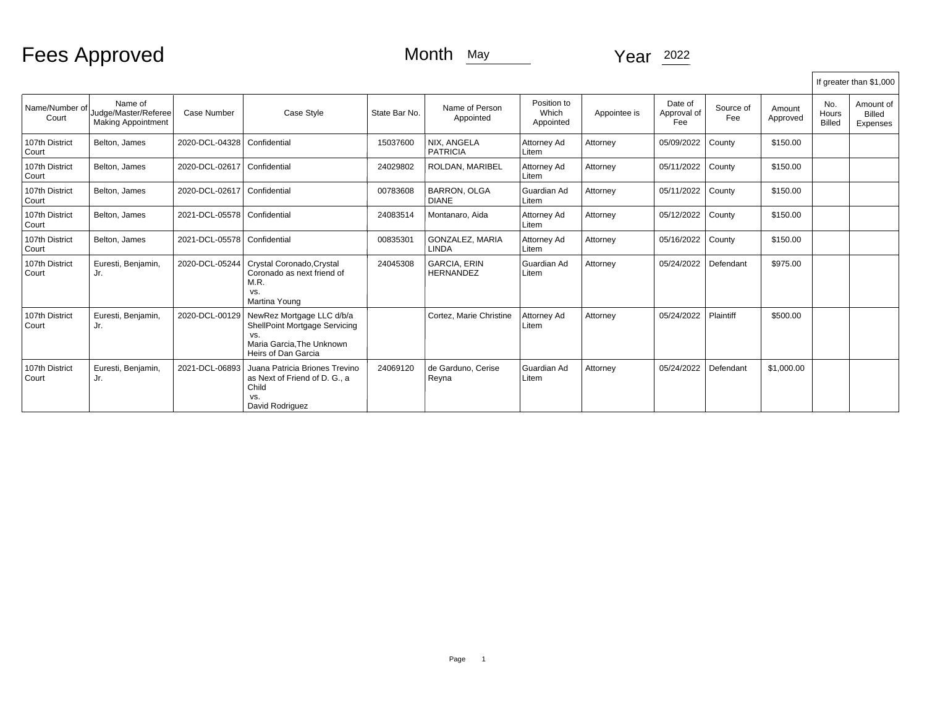Fees Approved Month May Month May Year 2022

|                           |                                                              |                               |                                                                                                                       |               |                                         |                                   |              |                               |                  |                    |                               | If greater than \$1,000                |
|---------------------------|--------------------------------------------------------------|-------------------------------|-----------------------------------------------------------------------------------------------------------------------|---------------|-----------------------------------------|-----------------------------------|--------------|-------------------------------|------------------|--------------------|-------------------------------|----------------------------------------|
| Name/Number of<br>Court   | Name of<br>Judge/Master/Referee<br><b>Making Appointment</b> | Case Number                   | Case Style                                                                                                            | State Bar No. | Name of Person<br>Appointed             | Position to<br>Which<br>Appointed | Appointee is | Date of<br>Approval of<br>Fee | Source of<br>Fee | Amount<br>Approved | No.<br>Hours<br><b>Billed</b> | Amount of<br><b>Billed</b><br>Expenses |
| 107th District<br>l Court | Belton, James                                                | 2020-DCL-04328   Confidential |                                                                                                                       | 15037600      | NIX. ANGELA<br><b>PATRICIA</b>          | Attorney Ad<br>Litem              | Attorney     | 05/09/2022                    | County           | \$150.00           |                               |                                        |
| 107th District<br>Court   | Belton, James                                                | 2020-DCL-02617                | Confidential                                                                                                          | 24029802      | ROLDAN, MARIBEL                         | Attorney Ad<br>Litem              | Attorney     | 05/11/2022                    | County           | \$150.00           |                               |                                        |
| 107th District<br>Court   | Belton, James                                                | 2020-DCL-02617   Confidential |                                                                                                                       | 00783608      | <b>BARRON, OLGA</b><br><b>DIANE</b>     | Guardian Ad<br>Litem              | Attorney     | 05/11/2022                    | County           | \$150.00           |                               |                                        |
| 107th District<br>Court   | Belton, James                                                | 2021-DCL-05578   Confidential |                                                                                                                       | 24083514      | Montanaro, Aida                         | Attorney Ad<br>Litem              | Attorney     | 05/12/2022                    | County           | \$150.00           |                               |                                        |
| 107th District<br>Court   | Belton, James                                                | 2021-DCL-05578   Confidential |                                                                                                                       | 00835301      | <b>GONZALEZ, MARIA</b><br><b>LINDA</b>  | Attorney Ad<br>Litem              | Attorney     | 05/16/2022                    | County           | \$150.00           |                               |                                        |
| 107th District<br>Court   | Euresti, Benjamin,<br>Jr.                                    | 2020-DCL-05244                | Crystal Coronado, Crystal<br>Coronado as next friend of<br>M.R.<br>VS.<br>Martina Young                               | 24045308      | <b>GARCIA, ERIN</b><br><b>HERNANDEZ</b> | Guardian Ad<br>Litem              | Attorney     | 05/24/2022                    | Defendant        | \$975.00           |                               |                                        |
| 107th District<br>Court   | Euresti, Benjamin,<br>Jr.                                    | 2020-DCL-00129                | NewRez Mortgage LLC d/b/a<br>ShellPoint Mortgage Servicing<br>VS.<br>Maria Garcia. The Unknown<br>Heirs of Dan Garcia |               | Cortez, Marie Christine                 | Attorney Ad<br>Litem              | Attorney     | 05/24/2022                    | Plaintiff        | \$500.00           |                               |                                        |
| 107th District<br>Court   | Euresti, Benjamin,<br>Jr.                                    | 2021-DCL-06893                | Juana Patricia Briones Trevino<br>as Next of Friend of D. G., a<br>Child<br>VS.<br>David Rodriguez                    | 24069120      | de Garduno. Cerise<br>Reyna             | Guardian Ad<br>Litem              | Attorney     | 05/24/2022                    | Defendant        | \$1,000.00         |                               |                                        |